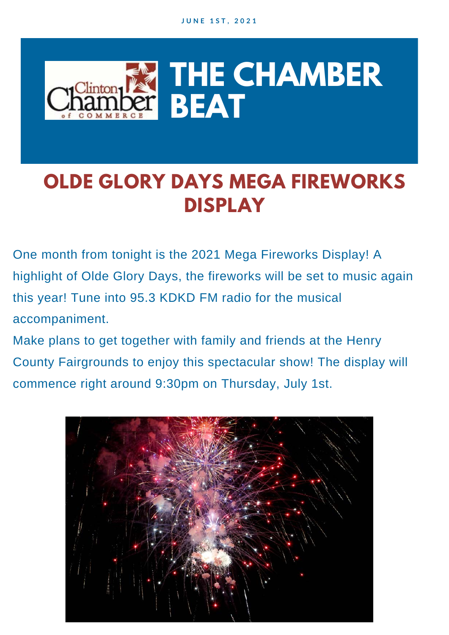

### **OLDE GLORY DAYS MEGA FIREWORKS DISPLAY**

One month from tonight is the 2021 Mega Fireworks Display! A highlight of Olde Glory Days, the fireworks will be set to music again this year! Tune into 95.3 KDKD FM radio for the musical accompaniment.

Make plans to get together with family and friends at the Henry County Fairgrounds to enjoy this spectacular show! The display will commence right around 9:30pm on Thursday, July 1st.

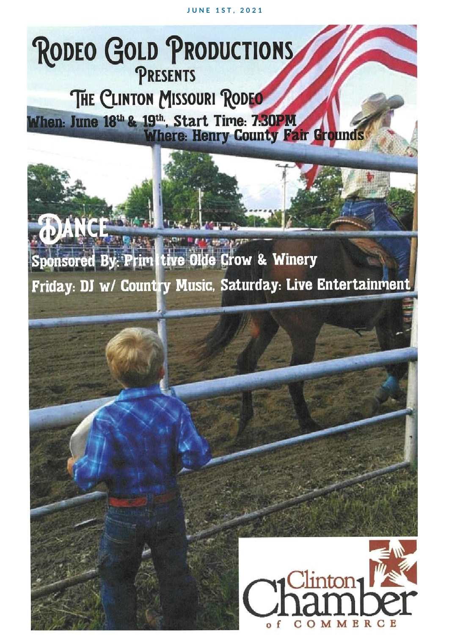**JUNE 1ST, 2021** 

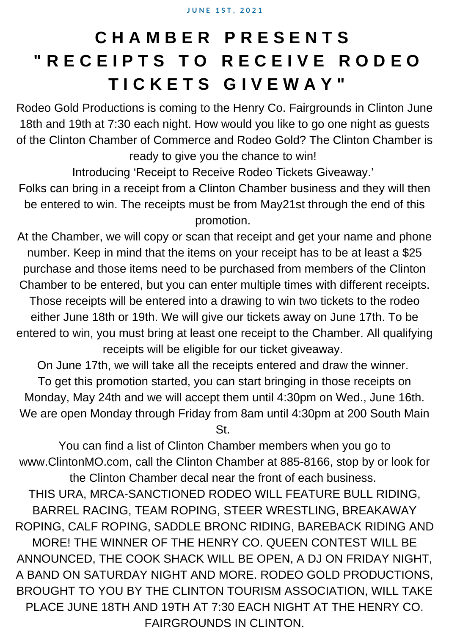### **C H A M B E R P R E S E N T S " R E C E I P T S T O R E C E I V E R O D E O T I C K E T S G I V E W A Y "**

Rodeo Gold Productions is coming to the Henry Co. Fairgrounds in Clinton June 18th and 19th at 7:30 each night. How would you like to go one night as guests of the Clinton Chamber of Commerce and Rodeo Gold? The Clinton Chamber is ready to give you the chance to win!

Introducing 'Receipt to Receive Rodeo Tickets Giveaway.'

Folks can bring in a receipt from a Clinton Chamber business and they will then be entered to win. The receipts must be from May21st through the end of this promotion.

At the Chamber, we will copy or scan that receipt and get your name and phone number. Keep in mind that the items on your receipt has to be at least a \$25 purchase and those items need to be purchased from members of the Clinton Chamber to be entered, but you can enter multiple times with different receipts. Those receipts will be entered into a drawing to win two tickets to the rodeo either June 18th or 19th. We will give our tickets away on June 17th. To be entered to win, you must bring at least one receipt to the Chamber. All qualifying receipts will be eligible for our ticket giveaway.

On June 17th, we will take all the receipts entered and draw the winner. To get this promotion started, you can start bringing in those receipts on Monday, May 24th and we will accept them until 4:30pm on Wed., June 16th. We are open Monday through Friday from 8am until 4:30pm at 200 South Main St.

You can find a list of Clinton Chamber members when you go to www.ClintonMO.com, call the Clinton Chamber at 885-8166, stop by or look for the Clinton Chamber decal near the front of each business. THIS URA, MRCA-SANCTIONED RODEO WILL FEATURE BULL RIDING, BARREL RACING, TEAM ROPING, STEER WRESTLING, BREAKAWAY ROPING, CALF ROPING, SADDLE BRONC RIDING, BAREBACK RIDING AND MORE! THE WINNER OF THE HENRY CO. QUEEN CONTEST WILL BE ANNOUNCED, THE COOK SHACK WILL BE OPEN, A DJ ON FRIDAY NIGHT, A BAND ON SATURDAY NIGHT AND MORE. RODEO GOLD PRODUCTIONS, BROUGHT TO YOU BY THE CLINTON TOURISM ASSOCIATION, WILL TAKE PLACE JUNE 18TH AND 19TH AT 7:30 EACH NIGHT AT THE HENRY CO. FAIRGROUNDS IN CLINTON.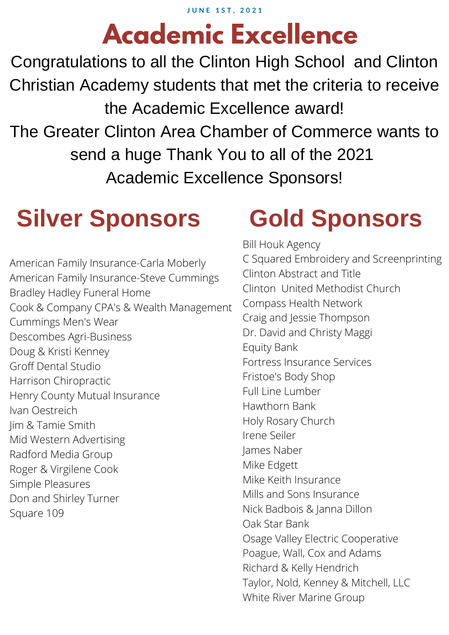# **Academic Excellence**

Congratulations to all the Clinton High School and Clinton Christian Academy students that met the criteria to receive the Academic Excellence award! The Greater Clinton Area Chamber of Commerce wants to send a huge Thank You to all of the 2021 Academic Excellence Sponsors!

### **Silver Sponsors**

American Family Insurance-Carla Moberly American Family Insurance-Steve Cummings Bradley Hadley Funeral Home Cook & Company CPA's & Wealth Management Cummings Men's Wear Descombes Agri-Business Doug & Kristi Kenney Groff Dental Studio Harrison Chiropractic Henry County Mutual Insurance Ivan Oestreich Jim & Tamie Smith Mid Western Advertising Radford Media Group Roger & Virgilene Cook Simple Pleasures Don and Shirley Turner Square 109

### **Gold Sponsors**

Bill Houk Agency C Squared Embroidery and Screenprinting Clinton Abstract and Title Clinton United Methodist Church Compass Health Network Craig and Jessie Thompson Dr. David and Christy Maggi Equity Bank Fortress Insurance Services Fristoe's Body Shop Full Line Lumber Hawthorn Bank Holy Rosary Church Irene Seiler James Naber Mike Edgett Mike Keith Insurance Mills and Sons Insurance Nick Badbois & Janna Dillon Oak Star Bank Osage Valley Electric Cooperative Poague, Wall, Cox and Adams Richard & Kelly Hendrich Taylor, Nold, Kenney & Mitchell, LLC White River Marine Group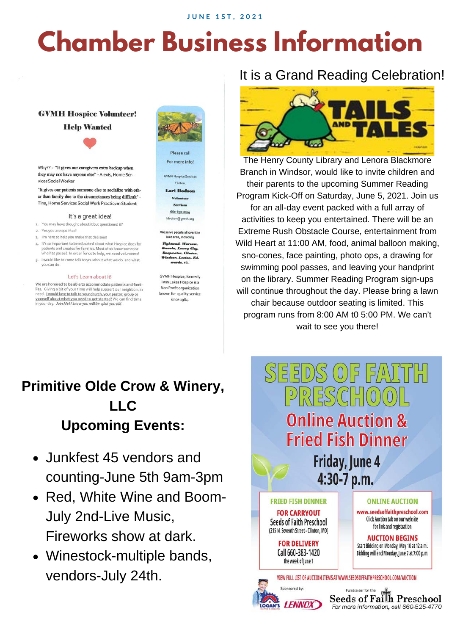## **Chamber Business Information**

#### **GVMH Hospice Volunteer!**

#### **Help Wanted**

Why?? - "It gives our caregivers extra backup when they may not have anyone else" - Alexis, Home Services Social Worker

"It gives our patients someone else to socialize with other than family due to the circumstances being difficult" -Tina, Home Services Social Work Practicum Student

#### It's a great idea!

- 1. You may have thought about it but questioned it?
- 2. Yes you are qualified!
- 3. I'm here to help you make that decision!
- It's so important to be educated about what Hospice does for  $4$ patients and creates for families. Most of us know someo who has passed. In order for us to help, we need volunteers!
- I would like to come talk to you about what we do, and what you can do

#### Let's Learn about it!

We are honored to be able to accommodate patients and families. Giving a bit of your time will help support our neighbors<br>need. I would love to talk to your church, your pastor, group or yourself about what you need to get started! We can find time in your day. Join Me! I know you will be glad you did.



Please call For more info!

**GVMH Hospice Services** Clinton,

**Lori Dods** Volunteer Services 660-890-2014 Idodson@gvmh.org

Ve serve people all over the area, including

ad, Wa Lowry City. ». Cli  $\overline{z}$ on, Ed.

**GVMH Hospice, formerly** Twin Lakes Hospice is a Non Profit organization known for quality service since 1984.

### It is a Grand Reading Celebration!



The Henry County Library and Lenora Blackmore Branch in Windsor, would like to invite children and their parents to the upcoming Summer Reading Program Kick-Off on Saturday, June 5, 2021. Join us for an all-day event packed with a full array of activities to keep you entertained. There will be an Extreme Rush Obstacle Course, entertainment from Wild Heart at 11:00 AM, food, animal balloon making, sno-cones, face painting, photo ops, a drawing for swimming pool passes, and leaving your handprint on the library. Summer Reading Program sign-ups will continue throughout the day. Please bring a lawn chair because outdoor seating is limited. This program runs from 8:00 AM t0 5:00 PM. We can't wait to see you there!

### **Primitive Olde Crow & Winery, LLC Upcoming Events:**

- Junkfest 45 vendors and  $\bullet$ counting-June 5th 9am-3pm
- Red, White Wine and Boom-July 2nd-Live Music, Fireworks show at dark.
- Winestock-multiple bands, vendors-July 24th.

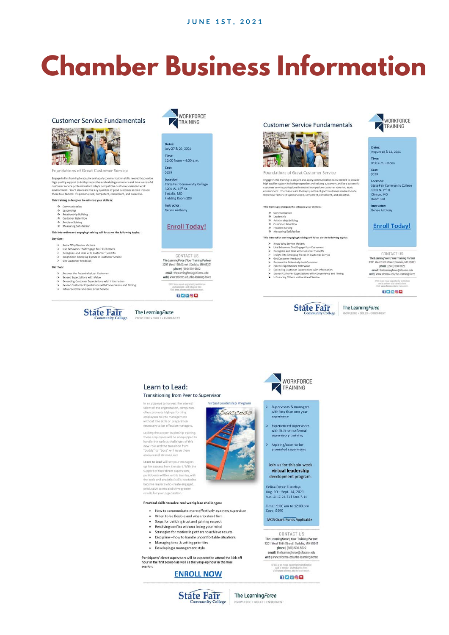## **Chamber Business Information**



Virtual Leadership Program

Success

#### Learn to Lead: **Transitioning from Peer to Supervisor**

In an attempt to harvest the internal In an attempt to harvest the internal<br>talent of the organization, companies<br>often promote high-performing<br>employees to into management<br>without the skills or preparation<br>necessary to be effective managers.

Lacking the proper leadership training these employees will be unequipped to handle the various challenges of this new role and the transition from "buddy" to "boss" will leave them anxious and stressed out

Learn to Lead will set your managers<br>up for success from the start. With the<br>support of their direct supervisors, participants will leave this training with the tools and analytical skills needed to become leaders who create engaged productive teams and drive greate

Practical skills to solve real workplace challenges:

. How to communicate more effectively as a new supervisor

- When to be flexible and when to stand firm
- Steps for building trust and gaining respect
- Resolving conflict without losing your mind<br>Strategies for motivating others to achieve results
- · Discipline how to handle uncomfortable situations
- Managing time & setting priorities
- · Developing a management style

Participants' direct supervisors will be expected to attend the kick-off hour in the first session as well as the wrap-up hour in the final session

#### **ENROLL NOW**



with less than one yea experience

- supervisory training
- 

virtual leadership

Online Dates: Tuesdays<br>Aug. 10 – Sept. 14, 2021<br>Aug. 10, 17, 24, 31 | Sept. 7, 14

MOS Grant Funds Applicable

CONTACT US UTER Learning Porter<br>
The Learning Partner<br>
3201 West T6th Street [ Sedalia, M0 65301<br>
phone [ (660) 530-5822<br>
email | thelearning force@isfccmo.edu<br>
web [ www.sfccmo.edu/the-learning-force

SFOC is an equal opportunity institution<br>and is smoke- and tobacco-free.<br>Visit www.sfermu.edu to learn more.

The LearningForce KNOWLEDGE + SKILLS + ENRICHMENT

# WORKFORCE

Supervisors & managers

Experienced supervisors<br>with little or no formal

Aspiring/soon-to-be-<br>promoted supervisors

Join us for this six-week development program.

Online Dates: Tuesda

Time: 9:00 am to 12:00 pm<br>Cost: \$699

80600